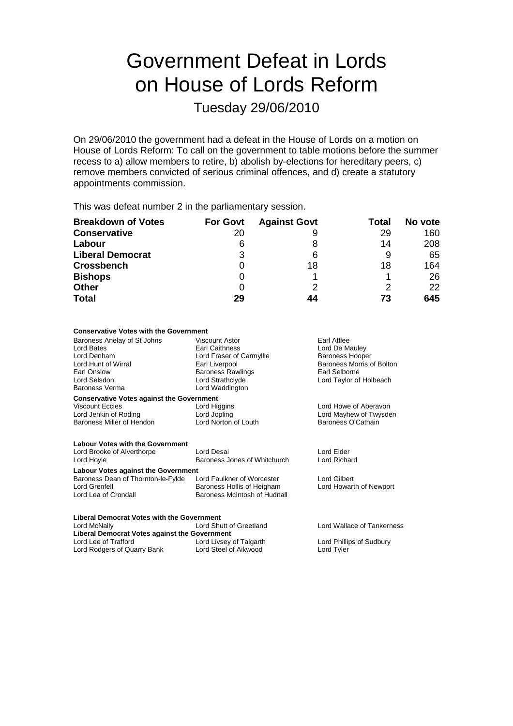# Government Defeat in Lords on House of Lords Reform

Tuesday 29/06/2010

On 29/06/2010 the government had a defeat in the House of Lords on a motion on House of Lords Reform: To call on the government to table motions before the summer recess to a) allow members to retire, b) abolish by-elections for hereditary peers, c) remove members convicted of serious criminal offences, and d) create a statutory appointments commission.

This was defeat number 2 in the parliamentary session.

| <b>Breakdown of Votes</b> | <b>For Govt</b> | <b>Against Govt</b> | Total | No vote |
|---------------------------|-----------------|---------------------|-------|---------|
| <b>Conservative</b>       | 20              | 9                   | 29    | 160     |
| Labour                    | 6               | 8                   | 14    | 208     |
| <b>Liberal Democrat</b>   | 3               | 6                   |       | 65      |
| <b>Crossbench</b>         |                 | 18                  | 18    | 164     |
| <b>Bishops</b>            |                 |                     |       | 26      |
| <b>Other</b>              |                 |                     |       | 22      |
| <b>Total</b>              | 29              | 44                  | 73    | 645     |

#### **Conservative Votes with the Government**

Baroness Anelay of St Johns Viscount Astor Carl Attlee<br>
Lord Bates Carl Caithness<br>
Lord De M Lord Bates **Earl Caithness** Earl Caithness Lord De Mauley<br>
Lord Denham **Earl Caithness** Lord Fraser of Carmyllie **Earl Batter Batter** Lord Denham Lord Fraser of Carmyllie<br>
Lord Hunt of Wirral<br>
Earl Liverpool Baroness Morris of Bolton Earl Onslow Baroness Rawlings Earl Selborne Lord Selsdon Lord Strathclyde Lord Taylor of Holbeach Baroness Verma Lord Waddington **Conservative Votes against the Government** Viscount Eccles Lord Higgins Lord Howe of Aberavon Lord Jenkin of Roding Lord Jopling Lord Mayhew of Twysden Lord Norton of Louth **Labour Votes with the Government** Lord Brooke of Alverthorpe Lord Desai Lord Desai Lord Brooke of Alverthorpe Lord Brooke Cord Elder<br>
Lord Hovle Lord Richard Baroness Jones of Whitchurch Lord Richard Lord Hoyle **Example 2 Baroness Jones of Whitchurch Labour Votes against the Government** Baroness Dean of Thornton-le-Fylde Lord Faulkner of Worcester Lord Gilbert<br>
Lord Grenfell Baroness Hollis of Heigham Lord Howarth of Newport Lord Grenfell Baroness Hollis of Heigham<br>Lord Lea of Crondall Baroness McIntosh of Hudna

Baroness McIntosh of Hudnall

**Liberal Democrat Votes with the Government Liberal Democrat Votes against the Government** Lord Livsey of Talgarth Lord Phillips of Sudbury Lord Rodgers of Quarry Bank Lord Steel of Aikwood Lord Tyler

Lord Wallace of Tankerness